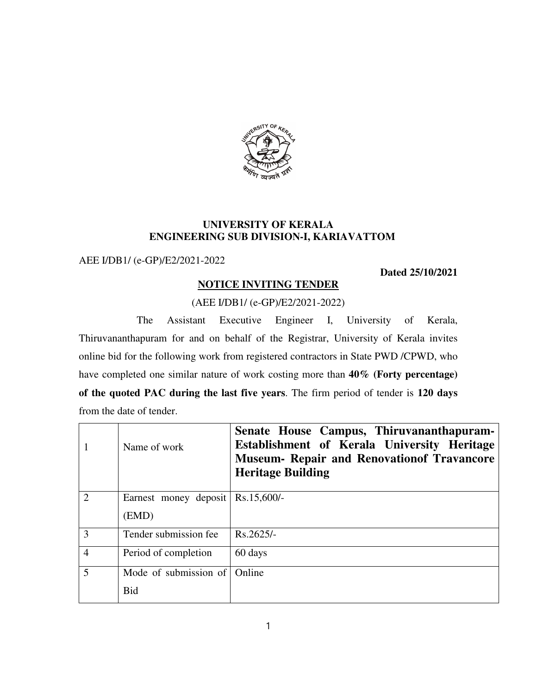

## **UNIVERSITY OF KERALA ENGINEERING SUB DIVISION-I, KARIAVATTOM**

AEE I/DB1/ (e-GP)/E2/2021-2022

**Dated 25/10/2021**

## **NOTICE INVITING TENDER**

# (AEE I/DB1/ (e-GP)/E2/2021-2022)

 The Assistant Executive Engineer I, University of Kerala, Thiruvananthapuram for and on behalf of the Registrar, University of Kerala invites online bid for the following work from registered contractors in State PWD /CPWD, who have completed one similar nature of work costing more than **40% (Forty percentage) of the quoted PAC during the last five years**. The firm period of tender is **120 days**  from the date of tender.

|                | Name of work          | Senate House Campus, Thiruvananthapuram-<br>Establishment of Kerala University Heritage<br><b>Museum- Repair and Renovation of Travancore</b><br><b>Heritage Building</b> |
|----------------|-----------------------|---------------------------------------------------------------------------------------------------------------------------------------------------------------------------|
| $\mathcal{D}$  | Earnest money deposit | $Rs.15,600/-$                                                                                                                                                             |
|                | (EMD)                 |                                                                                                                                                                           |
| 3              | Tender submission fee | Rs.2625/-                                                                                                                                                                 |
| $\overline{4}$ | Period of completion  | 60 days                                                                                                                                                                   |
| 5              | Mode of submission of | Online                                                                                                                                                                    |
|                | <b>Bid</b>            |                                                                                                                                                                           |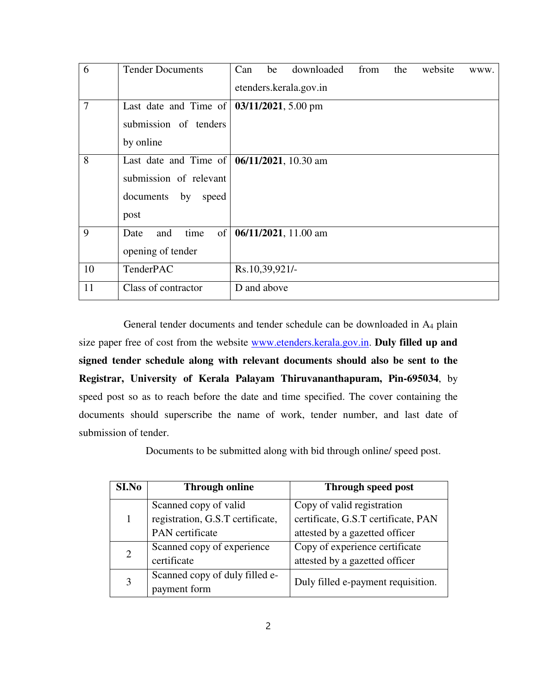| 6              | <b>Tender Documents</b>                                    | Can                    | be             | downloaded           | from | the | website | WWW. |
|----------------|------------------------------------------------------------|------------------------|----------------|----------------------|------|-----|---------|------|
|                |                                                            | etenders.kerala.gov.in |                |                      |      |     |         |      |
| $\overline{7}$ | Last date and Time of $\vert 03/11/2021, 5.00 \text{ pm}$  |                        |                |                      |      |     |         |      |
|                | submission of tenders                                      |                        |                |                      |      |     |         |      |
|                | by online                                                  |                        |                |                      |      |     |         |      |
| 8              | Last date and Time of $\vert 06/11/2021, 10.30 \text{ am}$ |                        |                |                      |      |     |         |      |
|                | submission of relevant                                     |                        |                |                      |      |     |         |      |
|                | documents by<br>speed                                      |                        |                |                      |      |     |         |      |
|                | post                                                       |                        |                |                      |      |     |         |      |
| 9              | time<br>of<br>and<br>Date                                  |                        |                | 06/11/2021, 11.00 am |      |     |         |      |
|                | opening of tender                                          |                        |                |                      |      |     |         |      |
| 10             | TenderPAC                                                  |                        | Rs.10,39,921/- |                      |      |     |         |      |
| 11             | Class of contractor                                        |                        | D and above    |                      |      |     |         |      |

 General tender documents and tender schedule can be downloaded in A<sup>4</sup> plain size paper free of cost from the website www.etenders.kerala.gov.in. **Duly filled up and signed tender schedule along with relevant documents should also be sent to the Registrar, University of Kerala Palayam Thiruvananthapuram, Pin-695034**, by speed post so as to reach before the date and time specified. The cover containing the documents should superscribe the name of work, tender number, and last date of submission of tender.

Documents to be submitted along with bid through online/ speed post.

| SI.No          | <b>Through online</b>            | Through speed post                  |  |  |
|----------------|----------------------------------|-------------------------------------|--|--|
|                | Scanned copy of valid            | Copy of valid registration          |  |  |
|                | registration, G.S.T certificate, | certificate, G.S.T certificate, PAN |  |  |
|                | PAN certificate                  | attested by a gazetted officer      |  |  |
| $\overline{2}$ | Scanned copy of experience       | Copy of experience certificate      |  |  |
|                | certificate                      | attested by a gazetted officer      |  |  |
| 3              | Scanned copy of duly filled e-   | Duly filled e-payment requisition.  |  |  |
|                | payment form                     |                                     |  |  |